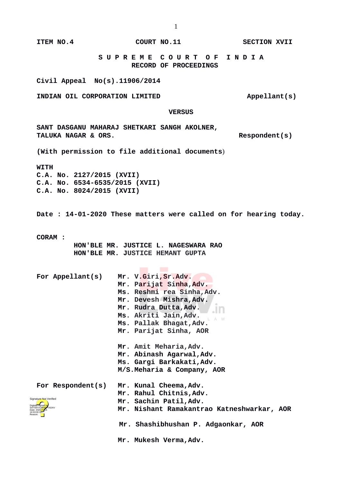**ITEM NO.4 COURT NO.11 COURT NO.11 SECTION XVII** 

 **S U P R E M E C O U R T O F I N D I A RECORD OF PROCEEDINGS**

**Civil Appeal No(s).11906/2014**

**INDIAN OIL CORPORATION LIMITED Appellant(s)** 

 **VERSUS**

**SANT DASGANU MAHARAJ SHETKARI SANGH AKOLNER,**  TALUKA NAGAR & ORS.

**(With permission to file additional documents**)

**WITH**

**C.A. No. 2127/2015 (XVII) C.A. No. 6534-6535/2015 (XVII) C.A. No. 8024/2015 (XVII)**

**Date : 14-01-2020 These matters were called on for hearing today.**

**CORAM :** 

 **HON'BLE MR. JUSTICE L. NAGESWARA RAO HON'BLE MR. JUSTICE HEMANT GUPTA**

| For Appellant(s)                                                               | Mr. V.Giri, Sr.Adv.<br>Mr. Parijat Sinha, Adv.<br>Ms. Reshmi rea Sinha, Adv.<br>Mr. Devesh Mishra, Adv.<br>Mr. Rudra Dutta,Adv.             |
|--------------------------------------------------------------------------------|---------------------------------------------------------------------------------------------------------------------------------------------|
|                                                                                | Ms. Akriti Jain, Adv.<br>Ms. Pallak Bhagat, Adv.<br>Mr. Parijat Sinha, AOR                                                                  |
|                                                                                | Mr. Amit Meharia, Adv.<br>Mr. Abinash Agarwal, Adv.<br>Ms. Gargi Barkakati,Adv.<br>M/S.Meharia & Company, AOR                               |
| Signature Not Verified<br>SATISH KUMAR YADAV<br>Date: 2020 <mark>.01</mark> 15 | For Respondent(s) Mr. Kunal Cheema, Adv.<br>Mr. Rahul Chitnis, Adv.<br>Mr. Sachin Patil, Adv.<br>Mr. Nishant Ramakantrao Katneshwarkar, AOR |
|                                                                                | Mr. Shashibhushan P. Adgaonkar, AOR<br>Mr. Mukesh Verma, Adv.                                                                               |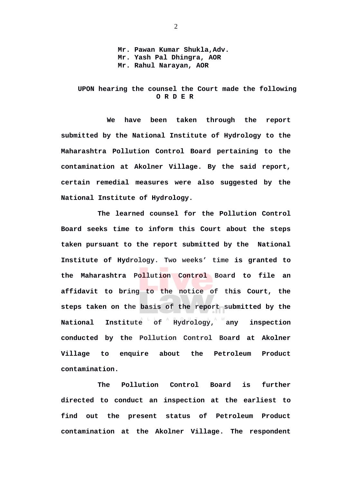**Mr. Pawan Kumar Shukla,Adv. Mr. Yash Pal Dhingra, AOR Mr. Rahul Narayan, AOR** 

## **UPON hearing the counsel the Court made the following O R D E R**

 **We have been taken through the report submitted by the National Institute of Hydrology to the Maharashtra Pollution Control Board pertaining to the contamination at Akolner Village. By the said report, certain remedial measures were also suggested by the National Institute of Hydrology.** 

**The learned counsel for the Pollution Control Board seeks time to inform this Court about the steps taken pursuant to the report submitted by the National Institute of Hydrology. Two weeks' time is granted to the Maharashtra Pollution Control Board to file an affidavit to bring to the notice of this Court, the steps taken on the basis of the report submitted by the National Institute of Hydrology, any inspection conducted by the Pollution Control Board at Akolner Village to enquire about the Petroleum Product contamination.** 

**The Pollution Control Board is further directed to conduct an inspection at the earliest to find out the present status of Petroleum Product contamination at the Akolner Village. The respondent**